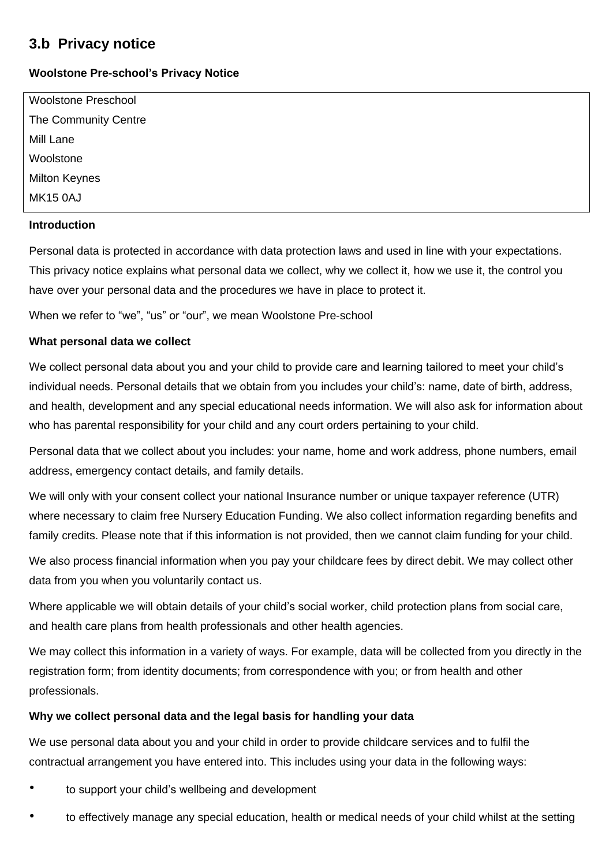# **3.b Privacy notice**

# **Woolstone Pre-school's Privacy Notice**

| <b>Woolstone Preschool</b> |  |
|----------------------------|--|
| The Community Centre       |  |
| Mill Lane                  |  |
| Woolstone                  |  |
| <b>Milton Keynes</b>       |  |
| <b>MK15 0AJ</b>            |  |
|                            |  |

# **Introduction**

Personal data is protected in accordance with data protection laws and used in line with your expectations. This privacy notice explains what personal data we collect, why we collect it, how we use it, the control you have over your personal data and the procedures we have in place to protect it.

When we refer to "we", "us" or "our", we mean Woolstone Pre-school

# **What personal data we collect**

We collect personal data about you and your child to provide care and learning tailored to meet your child's individual needs. Personal details that we obtain from you includes your child's: name, date of birth, address, and health, development and any special educational needs information. We will also ask for information about who has parental responsibility for your child and any court orders pertaining to your child.

Personal data that we collect about you includes: your name, home and work address, phone numbers, email address, emergency contact details, and family details.

We will only with your consent collect your national Insurance number or unique taxpayer reference (UTR) where necessary to claim free Nursery Education Funding. We also collect information regarding benefits and family credits. Please note that if this information is not provided, then we cannot claim funding for your child.

We also process financial information when you pay your childcare fees by direct debit. We may collect other data from you when you voluntarily contact us.

Where applicable we will obtain details of your child's social worker, child protection plans from social care, and health care plans from health professionals and other health agencies.

We may collect this information in a variety of ways. For example, data will be collected from you directly in the registration form; from identity documents; from correspondence with you; or from health and other professionals.

# **Why we collect personal data and the legal basis for handling your data**

We use personal data about you and your child in order to provide childcare services and to fulfil the contractual arrangement you have entered into. This includes using your data in the following ways:

- to support your child's wellbeing and development
- to effectively manage any special education, health or medical needs of your child whilst at the setting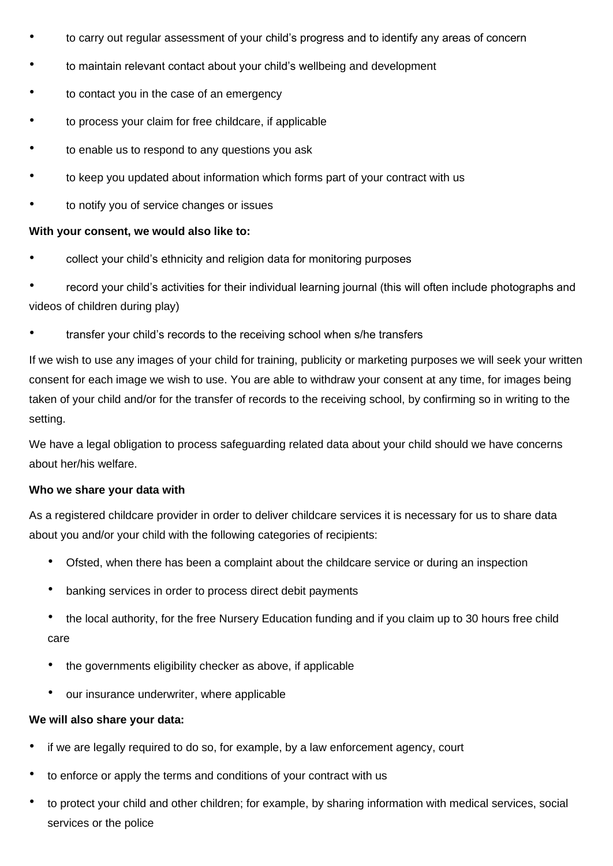- to carry out regular assessment of your child's progress and to identify any areas of concern
- to maintain relevant contact about your child's wellbeing and development
- to contact you in the case of an emergency
- to process your claim for free childcare, if applicable
- to enable us to respond to any questions you ask
- to keep you updated about information which forms part of your contract with us
- to notify you of service changes or issues

## **With your consent, we would also like to:**

• collect your child's ethnicity and religion data for monitoring purposes

• record your child's activities for their individual learning journal (this will often include photographs and videos of children during play)

• transfer your child's records to the receiving school when s/he transfers

If we wish to use any images of your child for training, publicity or marketing purposes we will seek your written consent for each image we wish to use. You are able to withdraw your consent at any time, for images being taken of your child and/or for the transfer of records to the receiving school, by confirming so in writing to the setting.

We have a legal obligation to process safeguarding related data about your child should we have concerns about her/his welfare.

## **Who we share your data with**

As a registered childcare provider in order to deliver childcare services it is necessary for us to share data about you and/or your child with the following categories of recipients:

- Ofsted, when there has been a complaint about the childcare service or during an inspection
- banking services in order to process direct debit payments
- the local authority, for the free Nursery Education funding and if you claim up to 30 hours free child care
- the governments eligibility checker as above, if applicable
- our insurance underwriter, where applicable

## **We will also share your data:**

- if we are legally required to do so, for example, by a law enforcement agency, court
- to enforce or apply the terms and conditions of your contract with us
- to protect your child and other children; for example, by sharing information with medical services, social services or the police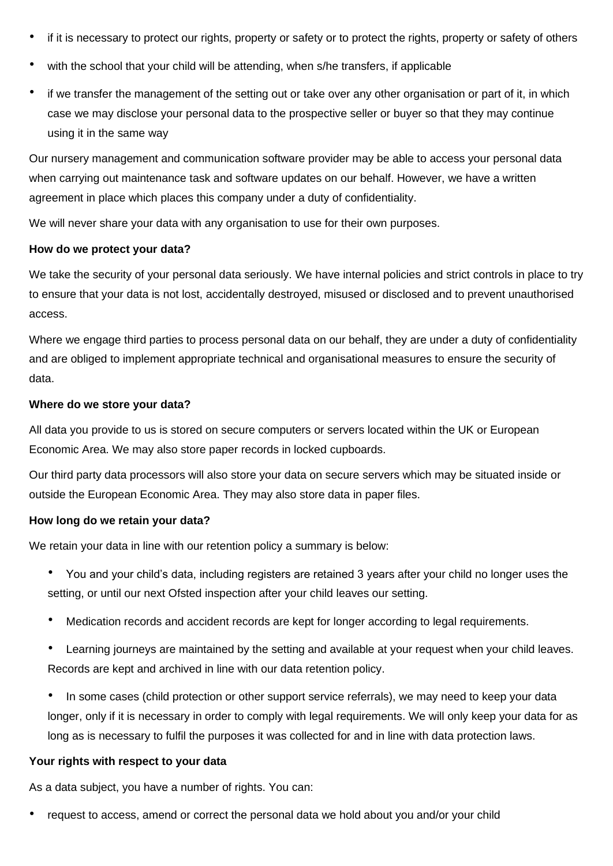- if it is necessary to protect our rights, property or safety or to protect the rights, property or safety of others
- with the school that your child will be attending, when s/he transfers, if applicable
- if we transfer the management of the setting out or take over any other organisation or part of it, in which case we may disclose your personal data to the prospective seller or buyer so that they may continue using it in the same way

Our nursery management and communication software provider may be able to access your personal data when carrying out maintenance task and software updates on our behalf. However, we have a written agreement in place which places this company under a duty of confidentiality.

We will never share your data with any organisation to use for their own purposes.

#### **How do we protect your data?**

We take the security of your personal data seriously. We have internal policies and strict controls in place to try to ensure that your data is not lost, accidentally destroyed, misused or disclosed and to prevent unauthorised access.

Where we engage third parties to process personal data on our behalf, they are under a duty of confidentiality and are obliged to implement appropriate technical and organisational measures to ensure the security of data.

#### **Where do we store your data?**

All data you provide to us is stored on secure computers or servers located within the UK or European Economic Area. We may also store paper records in locked cupboards.

Our third party data processors will also store your data on secure servers which may be situated inside or outside the European Economic Area. They may also store data in paper files.

## **How long do we retain your data?**

We retain your data in line with our retention policy a summary is below:

- You and your child's data, including registers are retained 3 years after your child no longer uses the setting, or until our next Ofsted inspection after your child leaves our setting.
- Medication records and accident records are kept for longer according to legal requirements.
- Learning journeys are maintained by the setting and available at your request when your child leaves. Records are kept and archived in line with our data retention policy.
- In some cases (child protection or other support service referrals), we may need to keep your data longer, only if it is necessary in order to comply with legal requirements. We will only keep your data for as long as is necessary to fulfil the purposes it was collected for and in line with data protection laws.

## **Your rights with respect to your data**

As a data subject, you have a number of rights. You can:

• request to access, amend or correct the personal data we hold about you and/or your child